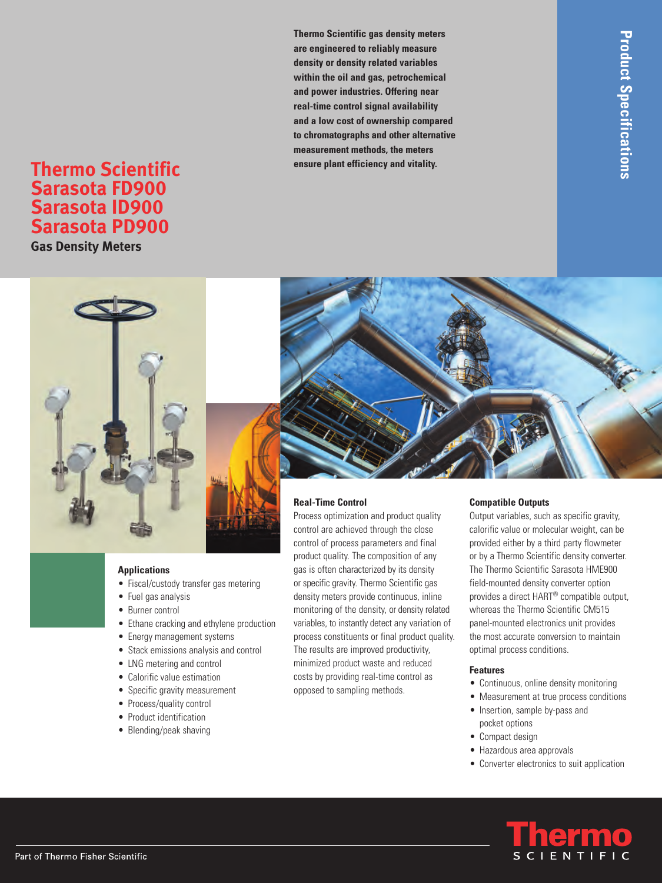**Thermo Scientific gas density meters are engineered to reliably measure density or density related variables within the oil and gas, petrochemical and power industries. Offering near real-time control signal availability and a low cost of ownership compared to chromatographs and other alternative measurement methods, the meters**

# **ensure plant efficiency and vitality. Thermo Scientific Sarasota FD900 Sarasota ID900 Sarasota PD900**

**Gas Density Meters**



# **Applications**

- Fiscal/custody transfer gas metering
- Fuel gas analysis
- Burner control
- Ethane cracking and ethylene production
- Energy management systems
- Stack emissions analysis and control
- LNG metering and control
- Calorific value estimation
- Specific gravity measurement
- Process/quality control
- Product identification
- Blending/peak shaving

control are achieved through the close control of process parameters and final product quality. The composition of any gas is often characterized by its density or specific gravity. Thermo Scientific gas density meters provide continuous, inline monitoring of the density, or density related variables, to instantly detect any variation of process constituents or final product quality. The results are improved productivity, minimized product waste and reduced costs by providing real-time control as opposed to sampling methods.

# **Compatible Outputs**

Output variables, such as specific gravity, calorific value or molecular weight, can be provided either by a third party flowmeter or by a Thermo Scientific density converter. The Thermo Scientific Sarasota HME900 field-mounted density converter option provides a direct HART® compatible output, whereas the Thermo Scientific CM515 panel-mounted electronics unit provides the most accurate conversion to maintain optimal process conditions.

# **Features**

- Continuous, online density monitoring
- Measurement at true process conditions
- Insertion, sample by-pass and pocket options
- Compact design
- Hazardous area approvals
- Converter electronics to suit application

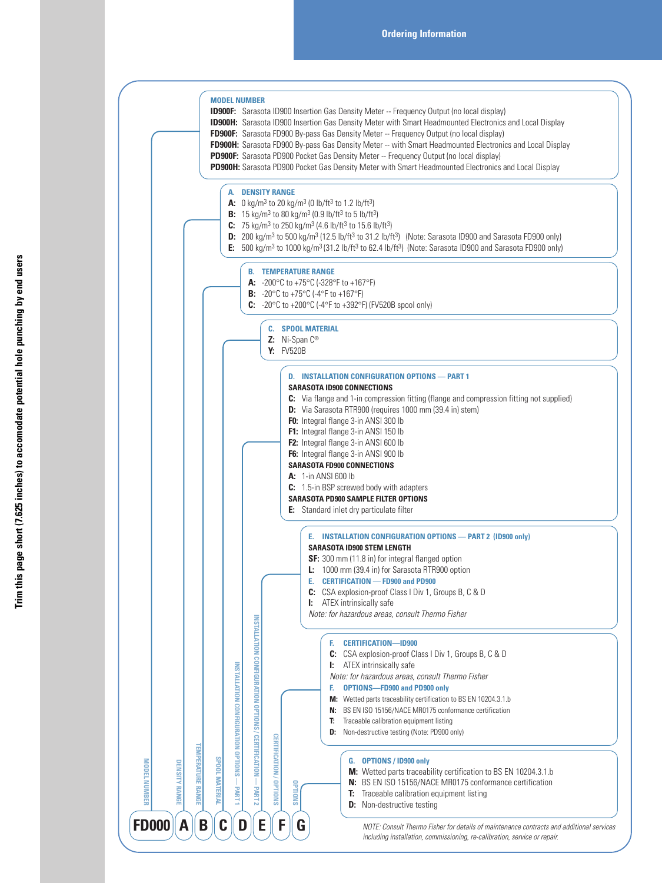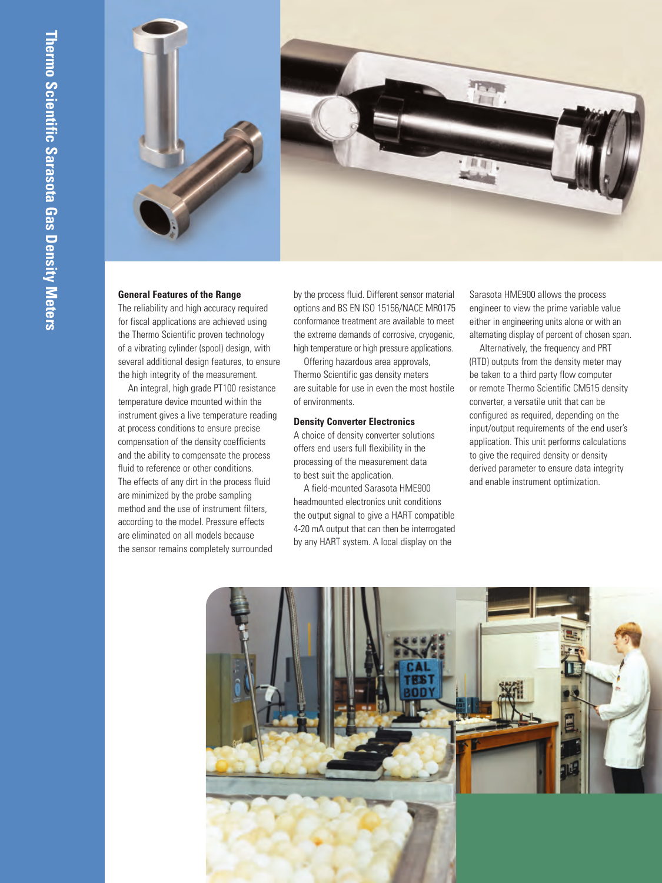

# **General Features of the Range**

The reliability and high accuracy required for fiscal applications are achieved using the Thermo Scientific proven technology of a vibrating cylinder (spool) design, with several additional design features, to ensure the high integrity of the measurement.

An integral, high grade PT100 resistance temperature device mounted within the instrument gives a live temperature reading at process conditions to ensure precise compensation of the density coefficients and the ability to compensate the process fluid to reference or other conditions. The effects of any dirt in the process fluid are minimized by the probe sampling method and the use of instrument filters, according to the model. Pressure effects are eliminated on all models because the sensor remains completely surrounded

by the process fluid. Different sensor material options and BS EN ISO 15156/NACE MR0175 conformance treatment are available to meet the extreme demands of corrosive, cryogenic, high temperature or high pressure applications.

Offering hazardous area approvals, Thermo Scientific gas density meters are suitable for use in even the most hostile of environments.

### **Density Converter Electronics**

A choice of density converter solutions offers end users full flexibility in the processing of the measurement data to best suit the application.

A field-mounted Sarasota HME900 headmounted electronics unit conditions the output signal to give a HART compatible 4-20 mA output that can then be interrogated by any HART system. A local display on the

Sarasota HME900 allows the process engineer to view the prime variable value either in engineering units alone or with an alternating display of percent of chosen span.

Alternatively, the frequency and PRT (RTD) outputs from the density meter may be taken to a third party flow computer or remote Thermo Scientific CM515 density converter, a versatile unit that can be configured as required, depending on the input/output requirements of the end user's application. This unit performs calculations to give the required density or density derived parameter to ensure data integrity and enable instrument optimization.

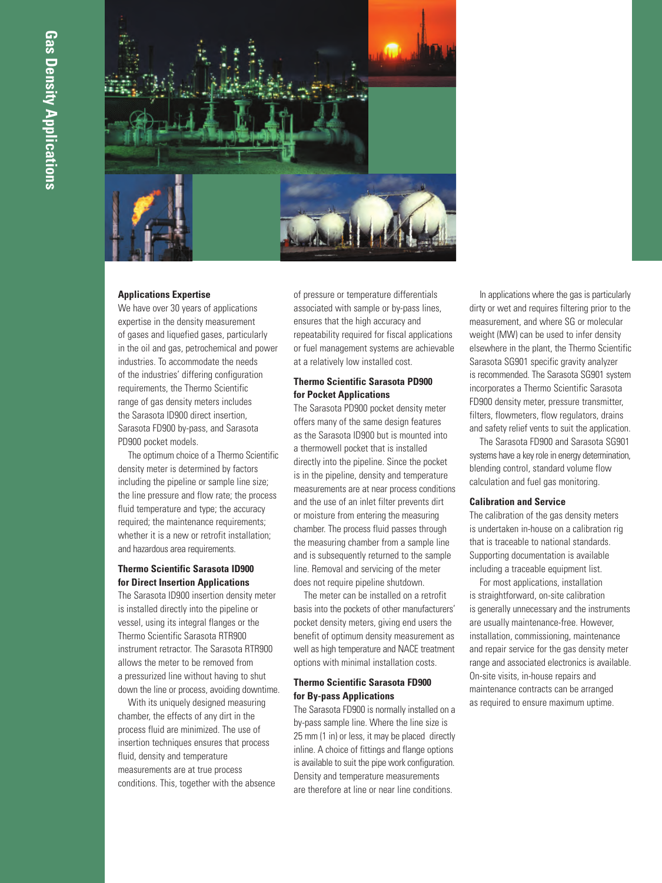

#### **Applications Expertise**

We have over 30 years of applications expertise in the density measurement of gases and liquefied gases, particularly in the oil and gas, petrochemical and power industries. To accommodate the needs of the industries' differing configuration requirements, the Thermo Scientific range of gas density meters includes the Sarasota ID900 direct insertion, Sarasota FD900 by-pass, and Sarasota PD900 pocket models.

The optimum choice of a Thermo Scientific density meter is determined by factors including the pipeline or sample line size; the line pressure and flow rate; the process fluid temperature and type; the accuracy required; the maintenance requirements; whether it is a new or retrofit installation; and hazardous area requirements.

# **Thermo Scientific Sarasota ID900 for Direct Insertion Applications**

The Sarasota ID900 insertion density meter is installed directly into the pipeline or vessel, using its integral flanges or the Thermo Scientific Sarasota RTR900 instrument retractor. The Sarasota RTR900 allows the meter to be removed from a pressurized line without having to shut down the line or process, avoiding downtime.

With its uniquely designed measuring chamber, the effects of any dirt in the process fluid are minimized. The use of insertion techniques ensures that process fluid, density and temperature measurements are at true process conditions. This, together with the absence of pressure or temperature differentials associated with sample or by-pass lines, ensures that the high accuracy and repeatability required for fiscal applications or fuel management systems are achievable at a relatively low installed cost.

# **Thermo Scientific Sarasota PD900 for Pocket Applications**

The Sarasota PD900 pocket density meter offers many of the same design features as the Sarasota ID900 but is mounted into a thermowell pocket that is installed directly into the pipeline. Since the pocket is in the pipeline, density and temperature measurements are at near process conditions and the use of an inlet filter prevents dirt or moisture from entering the measuring chamber. The process fluid passes through the measuring chamber from a sample line and is subsequently returned to the sample line. Removal and servicing of the meter does not require pipeline shutdown.

The meter can be installed on a retrofit basis into the pockets of other manufacturers' pocket density meters, giving end users the benefit of optimum density measurement as well as high temperature and NACE treatment options with minimal installation costs.

# **Thermo Scientific Sarasota FD900 for By-pass Applications**

The Sarasota FD900 is normally installed on a by-pass sample line. Where the line size is 25 mm (1 in) or less, it may be placed directly inline. A choice of fittings and flange options is available to suit the pipe work configuration. Density and temperature measurements are therefore at line or near line conditions.

In applications where the gas is particularly dirty or wet and requires filtering prior to the measurement, and where SG or molecular weight (MW) can be used to infer density elsewhere in the plant, the Thermo Scientific Sarasota SG901 specific gravity analyzer is recommended. The Sarasota SG901 system incorporates a Thermo Scientific Sarasota FD900 density meter, pressure transmitter, filters, flowmeters, flow regulators, drains and safety relief vents to suit the application.

The Sarasota FD900 and Sarasota SG901 systems have a key role in energy determination, blending control, standard volume flow calculation and fuel gas monitoring.

#### **Calibration and Service**

The calibration of the gas density meters is undertaken in-house on a calibration rig that is traceable to national standards. Supporting documentation is available including a traceable equipment list.

For most applications, installation is straightforward, on-site calibration is generally unnecessary and the instruments are usually maintenance-free. However, installation, commissioning, maintenance and repair service for the gas density meter range and associated electronics is available. On-site visits, in-house repairs and maintenance contracts can be arranged as required to ensure maximum uptime.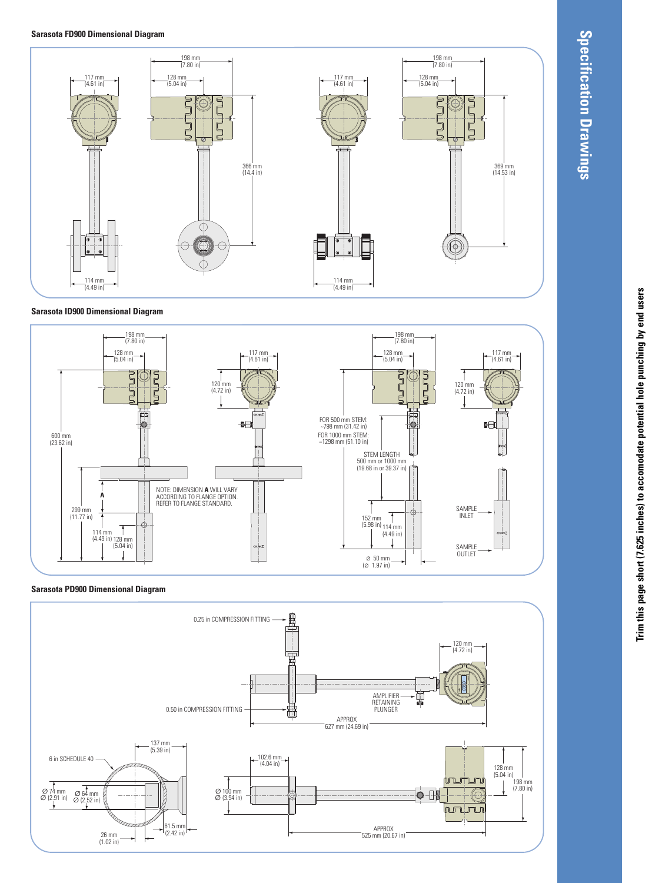#### **Sarasota FD900 Dimensional Diagram**



#### **Sarasota ID900 Dimensional Diagram**



#### **Sarasota PD900 Dimensional Diagram**



# Trim this page short (7.625 inches) to accomodate potential hole punching by end users Trim this page short (7.625 inches) to accomodate potential hole punching by end users

**Specification**

 **Drawings**